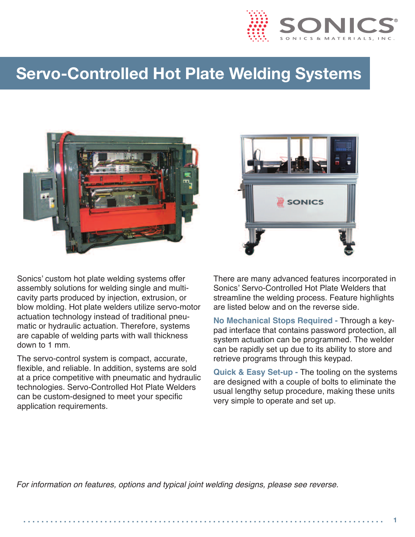

## **Servo-Controlled Hot Plate Welding Systems**



Sonics' custom hot plate welding systems offer assembly solutions for welding single and multicavity parts produced by injection, extrusion, or blow molding. Hot plate welders utilize servo-motor actuation technology instead of traditional pneumatic or hydraulic actuation. Therefore, systems are capable of welding parts with wall thickness down to 1 mm.

The servo-control system is compact, accurate, flexible, and reliable. In addition, systems are sold at a price competitive with pneumatic and hydraulic technologies. Servo-Controlled Hot Plate Welders can be custom-designed to meet your specific application requirements.



There are many advanced features incorporated in Sonics' Servo-Controlled Hot Plate Welders that streamline the welding process. Feature highlights are listed below and on the reverse side.

**No Mechanical Stops Required -** Through a keypad interface that contains password protection, all system actuation can be programmed. The welder can be rapidly set up due to its ability to store and retrieve programs through this keypad.

**Quick & Easy Set-up -** The tooling on the systems are designed with a couple of bolts to eliminate the usual lengthy setup procedure, making these units very simple to operate and set up.

*For information on features, options and typical joint welding designs, please see reverse.*